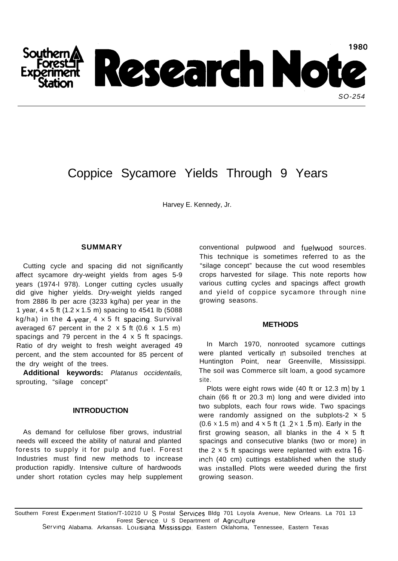

# Coppice Sycamore Yields Through 9 Years

Harvey E. Kennedy, Jr.

### **SUMMARY**

Cutting cycle and spacing did not significantly affect sycamore dry-weight yields from ages 5-9 years (1974-l 978). Longer cutting cycles usually did give higher yields. Dry-weight yields ranged from 2886 lb per acre (3233 kg/ha) per year in the 1 year, 4 x 5 ft (1.2 x 1.5 m) spacing to 4541 lb (5088 kg/ha) in the 4-year,  $4 \times 5$  ft spacing. Survival averaged 67 percent in the 2  $\times$  5 ft (0.6  $\times$  1.5 m) spacings and 79 percent in the  $4 \times 5$  ft spacings. Ratio of dry weight to fresh weight averaged 49 percent, and the stem accounted for 85 percent of the dry weight of the trees.

**Additional keywords:** *Platanus occidentalis,* sprouting, "silage concept"

## **INTRODUCTION**

As demand for cellulose fiber grows, industrial needs will exceed the ability of natural and planted forests to supply it for pulp and fuel. Forest Industries must find new methods to increase production rapidly. Intensive culture of hardwoods under short rotation cycles may help supplement conventional pulpwood and fuelwood sources. This technique is sometimes referred to as the "silage concept" because the cut wood resembles crops harvested for silage. This note reports how various cutting cycles and spacings affect growth and yield of coppice sycamore through nine growing seasons.

### **METHODS**

In March 1970, nonrooted sycamore cuttings were planted vertically in subsoiled trenches at Huntington Point, near Greenville, Mississippi. The soil was Commerce silt loam, a good sycamore site.

Plots were eight rows wide (40 ft or 12.3 m) by 1 chain (66 ft or 20.3 m) long and were divided into two subplots, each four rows wide. Two spacings were randomly assigned on the subplots-2  $\times$  5 (0.6  $\times$  1.5 m) and 4  $\times$  5 ft (1 .2  $\times$  1 .5 m). Early in the first growing season, all blanks in the  $4 \times 5$  ft spacings and consecutive blanks (two or more) in the 2  $\times$  5 ft spacings were replanted with extra 16inch (40 cm) cuttings established when the study was installed. Plots were weeded during the first growing season.

Southern Forest Experiment Station/T-10210 U S Postal Services Bldg 701 Loyola Avenue, New Orleans. La 701 13 Forest Service. U S Department of Agriculture Serving Alabama. Arkansas. Louisiana Mississippi. Eastern Oklahoma, Tennessee, Eastern Texas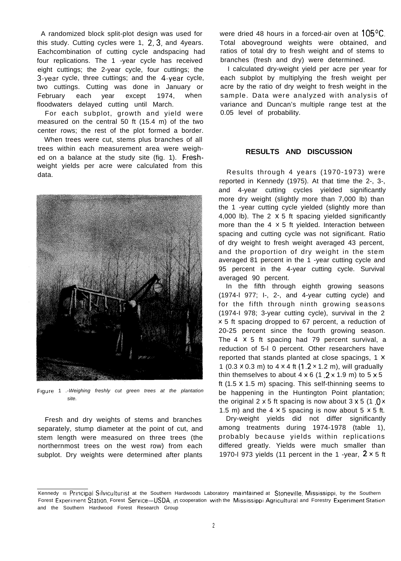A randomized block split-plot design was used for this study. Cutting cycles were 1, 2, 3, and 4 years. Eachcombination of cutting cycle andspacing had four replications. The 1 -year cycle has received eight cuttings; the 2-year cycle, four cuttings; the 3-year cycle, three cuttings; and the 4-year cycle, two cuttings. Cutting was done in January or February each year except 1974, when floodwaters delayed cutting until March.

For each subplot, growth and yield were measured on the central 50 ft (15.4 m) of the two center rows; the rest of the plot formed a border.

When trees were cut, stems plus branches of all trees within each measurement area were weighed on a balance at the study site (fig. 1). Freshweight yields per acre were calculated from this data.



Figure 1 *.-Weighing freshly cut green trees at the plantation site.*

Fresh and dry weights of stems and branches separately, stump diameter at the point of cut, and stem length were measured on three trees (the northernmost trees on the west row) from each subplot. Dry weights were determined after plants

were dried 48 hours in a forced-air oven at  $105^{\circ}$ C. Total aboveground weights were obtained, and ratios of total dry to fresh weight and of stems to branches (fresh and dry) were determined.

I calculated dry-weight yield per acre per year for each subplot by multiplying the fresh weight per acre by the ratio of dry weight to fresh weight in the sample. Data were analyzed with analysis of variance and Duncan's multiple range test at the 0.05 level of probability.

## **RESULTS AND DISCUSSION**

Results through 4 years (1970-1973) were reported in Kennedy (1975). At that time the 2-, 3-, and 4-year cutting cycles yielded significantly more dry weight (slightly more than 7,000 lb) than the 1 -year cutting cycle yielded (slightly more than 4,000 lb). The  $2 \times 5$  ft spacing yielded significantly more than the  $4 \times 5$  ft yielded. Interaction between spacing and cutting cycle was not significant. Ratio of dry weight to fresh weight averaged 43 percent, and the proportion of dry weight in the stem averaged 81 percent in the 1 -year cutting cycle and 95 percent in the 4-year cutting cycle. Survival averaged 90 percent.

In the fifth through eighth growing seasons (1974-l 977; I-, 2-, and 4-year cutting cycle) and for the fifth through ninth growing seasons (1974-I 978; 3-year cutting cycle), survival in the 2 x 5 ft spacing dropped to 67 percent, a reduction of 20-25 percent since the fourth growing season. The  $4 \times 5$  ft spacing had 79 percent survival, a reduction of 5-l 0 percent. Other researchers have reported that stands planted at close spacings, 1 x 1 (0.3  $\times$  0.3 m) to 4  $\times$  4 ft (1.2  $\times$  1.2 m), will gradually thin themselves to about  $4 \times 6$  (1.2 × 1.9 m) to  $5 \times 5$ ft (1.5 x 1.5 m) spacing. This self-thinning seems to be happening in the Huntington Point plantation; the original 2  $\times$  5 ft spacing is now about 3  $\times$  5 (1 .0  $\times$ 1.5 m) and the  $4 \times 5$  spacing is now about  $5 \times 5$  ft.

Dry-weight yields did not differ significantly among treatments during 1974-1978 (table 1), probably because yields within replications differed greatly. Yields were much smaller than 1970-l 973 yields (11 percent in the 1 -year,  $2 \times 5$  ft

Kennedy is Principal Silviculturist at the Southern Hardwoods Laboratory maintained at Stoneville, Mississippi, by the Southern Forest Experiment Station, Forest Service-USDA, in cooperation with the Mississippi Agricultural and Forestry Experiment Station and the Southern Hardwood Forest Research Group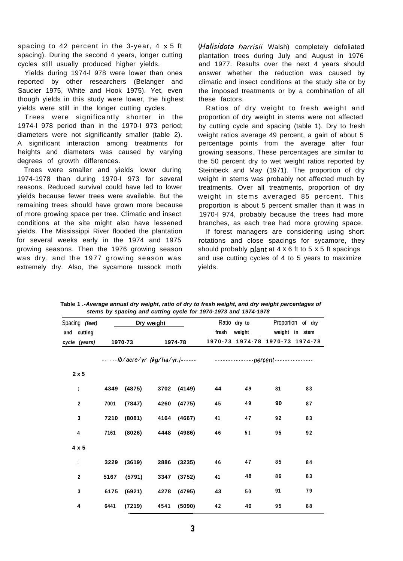spacing to 42 percent in the 3-year,  $4 \times 5$  ft spacing). During the second 4 years, longer cutting cycles still usually produced higher yields.

Yields during 1974-l 978 were lower than ones reported by other researchers (Belanger and Saucier 1975, White and Hook 1975). Yet, even though yields in this study were lower, the highest yields were still in the longer cutting cycles.

Trees were significantly shorter in the 1974-l 978 period than in the 1970-I 973 period; diameters were not significantly smaller (table 2). A significant interaction among treatments for heights and diameters was caused by varying degrees of growth differences.

Trees were smaller and yields lower during 1974-1978 than during 1970-I 973 for several reasons. Reduced survival could have led to lower yields because fewer trees were available. But the remaining trees should have grown more because of more growing space per tree. Climatic and insect conditions at the site might also have lessened yields. The Mississippi River flooded the plantation for several weeks early in the 1974 and 1975 growing seasons. Then the 1976 growing season was dry, and the 1977 growing season was extremely dry. Also, the sycamore tussock moth

*(Nalisidota harrisii* Walsh) completely defoliated plantation trees during July and August in 1976 and 1977. Results over the next 4 years should answer whether the reduction was caused by climatic and insect conditions at the study site or by the imposed treatments or by a combination of all these factors.

Ratios of dry weight to fresh weight and proportion of dry weight in stems were not affected by cutting cycle and spacing (table 1). Dry to fresh weight ratios average 49 percent, a gain of about 5 percentage points from the average after four growing seasons. These percentages are similar to the 50 percent dry to wet weight ratios reported by Steinbeck and May (1971). The proportion of dry weight in stems was probably not affected much by treatments. Over all treatments, proportion of dry weight in stems averaged 85 percent. This proportion is about 5 percent smaller than it was in 1970-l 974, probably because the trees had more branches, as each tree had more growing space.

If forest managers are considering using short rotations and close spacings for sycamore, they should probably plant at  $4 \times 6$  ft to  $5 \times 5$  ft spacings and use cutting cycles of 4 to 5 years to maximize yields.

| Spacing (feet)          |      |             | Dry weight             |             |                                                                                |        | Ratio dry to Proportion of dry  |    |
|-------------------------|------|-------------|------------------------|-------------|--------------------------------------------------------------------------------|--------|---------------------------------|----|
| and cutting             |      |             |                        |             | fresh                                                                          | weight | weight in stem                  |    |
| cycle (years)           |      | 1970-73     |                        | 1974-78     |                                                                                |        | 1970-73 1974-78 1970-73 1974-78 |    |
|                         |      |             |                        |             | ------lb/acre/yr. (kg/ha/yr.)------ ------------------percent----------------- |        |                                 |    |
| 2x5                     |      |             |                        |             |                                                                                |        |                                 |    |
|                         |      | 4349 (4875) |                        | 3702 (4149) | 44                                                                             | 49     | 81                              | 83 |
| $\overline{\mathbf{2}}$ | 7001 | (7847)      |                        | 4260 (4775) | 45                                                                             | 49     | 90                              | 87 |
| 3                       | 7210 |             | $(8081)$ 4164 $(4667)$ |             | 41                                                                             | 47     | 92                              | 83 |
| 4                       | 7161 |             | $(8026)$ 4448 $(4986)$ |             | 46                                                                             | 51     | 95                              | 92 |
| $4 \times 5$            |      |             |                        |             |                                                                                |        |                                 |    |
| 1                       | 3229 | (3619)      |                        | 2886 (3235) | 46                                                                             | 47     | 85                              | 84 |
| $\mathbf 2$             | 5167 | (5791)      |                        | 3347 (3752) | 41                                                                             | 48     | 86                              | 83 |
| 3                       | 6175 | (6921)      |                        | 4278 (4795) | 43                                                                             | 50     | 91                              | 79 |
| 4                       | 6441 | (7219)      | 4541 (5090)            |             | 42                                                                             | 49     | 95                              | 88 |

**Table 1** *.-Average annual dry weight, ratio of dry to fresh weight, and dry weight percentages of stems by spacing and cutting cycle for 1970-1973 and 1974-1978*